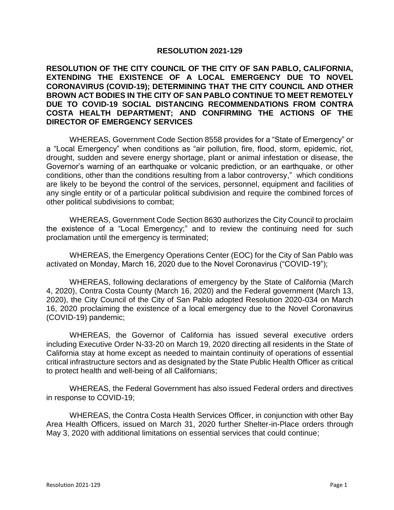## **RESOLUTION 2021-129**

## **RESOLUTION OF THE CITY COUNCIL OF THE CITY OF SAN PABLO, CALIFORNIA, EXTENDING THE EXISTENCE OF A LOCAL EMERGENCY DUE TO NOVEL CORONAVIRUS (COVID-19); DETERMINING THAT THE CITY COUNCIL AND OTHER BROWN ACT BODIES IN THE CITY OF SAN PABLO CONTINUE TO MEET REMOTELY DUE TO COVID-19 SOCIAL DISTANCING RECOMMENDATIONS FROM CONTRA COSTA HEALTH DEPARTMENT; AND CONFIRMING THE ACTIONS OF THE DIRECTOR OF EMERGENCY SERVICES**

WHEREAS, Government Code Section 8558 provides for a "State of Emergency" or a "Local Emergency" when conditions as "air pollution, fire, flood, storm, epidemic, riot, drought, sudden and severe energy shortage, plant or animal infestation or disease, the Governor's warning of an earthquake or volcanic prediction, or an earthquake, or other conditions, other than the conditions resulting from a labor controversy," which conditions are likely to be beyond the control of the services, personnel, equipment and facilities of any single entity or of a particular political subdivision and require the combined forces of other political subdivisions to combat;

WHEREAS, Government Code Section 8630 authorizes the City Council to proclaim the existence of a "Local Emergency;" and to review the continuing need for such proclamation until the emergency is terminated;

WHEREAS, the Emergency Operations Center (EOC) for the City of San Pablo was activated on Monday, March 16, 2020 due to the Novel Coronavirus ("COVID-19");

WHEREAS, following declarations of emergency by the State of California (March 4, 2020), Contra Costa County (March 16, 2020) and the Federal government (March 13, 2020), the City Council of the City of San Pablo adopted Resolution 2020-034 on March 16, 2020 proclaiming the existence of a local emergency due to the Novel Coronavirus (COVID-19) pandemic;

WHEREAS, the Governor of California has issued several executive orders including Executive Order N-33-20 on March 19, 2020 directing all residents in the State of California stay at home except as needed to maintain continuity of operations of essential critical infrastructure sectors and as designated by the State Public Health Officer as critical to protect health and well-being of all Californians;

WHEREAS, the Federal Government has also issued Federal orders and directives in response to COVID-19;

WHEREAS, the Contra Costa Health Services Officer, in conjunction with other Bay Area Health Officers, issued on March 31, 2020 further Shelter-in-Place orders through May 3, 2020 with additional limitations on essential services that could continue;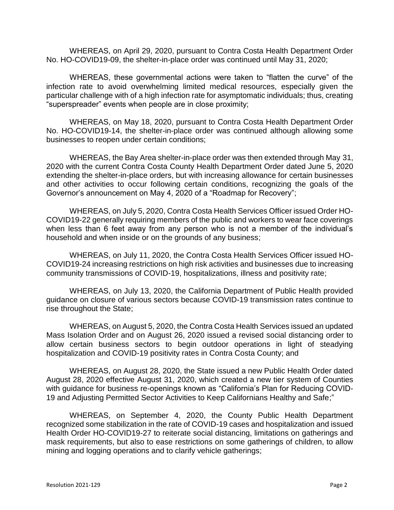WHEREAS, on April 29, 2020, pursuant to Contra Costa Health Department Order No. HO-COVID19-09, the shelter-in-place order was continued until May 31, 2020;

WHEREAS, these governmental actions were taken to "flatten the curve" of the infection rate to avoid overwhelming limited medical resources, especially given the particular challenge with of a high infection rate for asymptomatic individuals; thus, creating "superspreader" events when people are in close proximity;

WHEREAS, on May 18, 2020, pursuant to Contra Costa Health Department Order No. HO-COVID19-14, the shelter-in-place order was continued although allowing some businesses to reopen under certain conditions;

WHEREAS, the Bay Area shelter-in-place order was then extended through May 31, 2020 with the current Contra Costa County Health Department Order dated June 5, 2020 extending the shelter-in-place orders, but with increasing allowance for certain businesses and other activities to occur following certain conditions, recognizing the goals of the Governor's announcement on May 4, 2020 of a "Roadmap for Recovery";

WHEREAS, on July 5, 2020, Contra Costa Health Services Officer issued Order HO-COVID19-22 generally requiring members of the public and workers to wear face coverings when less than 6 feet away from any person who is not a member of the individual's household and when inside or on the grounds of any business;

WHEREAS, on July 11, 2020, the Contra Costa Health Services Officer issued HO-COVID19-24 increasing restrictions on high risk activities and businesses due to increasing community transmissions of COVID-19, hospitalizations, illness and positivity rate;

WHEREAS, on July 13, 2020, the California Department of Public Health provided guidance on closure of various sectors because COVID-19 transmission rates continue to rise throughout the State;

WHEREAS, on August 5, 2020, the Contra Costa Health Services issued an updated Mass Isolation Order and on August 26, 2020 issued a revised social distancing order to allow certain business sectors to begin outdoor operations in light of steadying hospitalization and COVID-19 positivity rates in Contra Costa County; and

WHEREAS, on August 28, 2020, the State issued a new Public Health Order dated August 28, 2020 effective August 31, 2020, which created a new tier system of Counties with guidance for business re-openings known as "California's Plan for Reducing COVID-19 and Adjusting Permitted Sector Activities to Keep Californians Healthy and Safe;"

WHEREAS, on September 4, 2020, the County Public Health Department recognized some stabilization in the rate of COVID-19 cases and hospitalization and issued Health Order HO-COVID19-27 to reiterate social distancing, limitations on gatherings and mask requirements, but also to ease restrictions on some gatherings of children, to allow mining and logging operations and to clarify vehicle gatherings;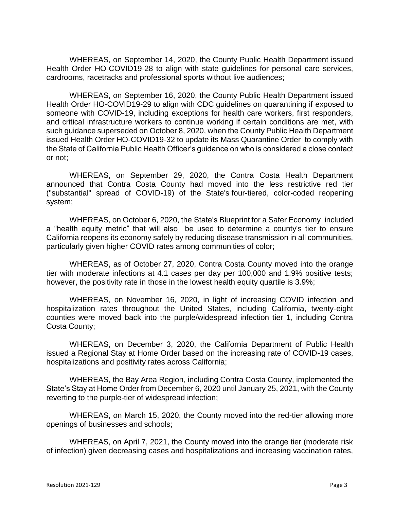WHEREAS, on September 14, 2020, the County Public Health Department issued Health Order HO-COVID19-28 to align with state guidelines for personal care services, cardrooms, racetracks and professional sports without live audiences;

WHEREAS, on September 16, 2020, the County Public Health Department issued Health Order HO-COVID19-29 to align with CDC guidelines on quarantining if exposed to someone with COVID-19, including exceptions for health care workers, first responders, and critical infrastructure workers to continue working if certain conditions are met, with such guidance superseded on October 8, 2020, when the County Public Health Department issued Health Order HO-COVID19-32 to update its Mass Quarantine Order to comply with the State of California Public Health Officer's guidance on who is considered a close contact or not;

WHEREAS, on September 29, 2020, the Contra Costa Health Department announced that Contra Costa County had moved into the less restrictive red tier ("substantial" spread of COVID-19) of the State's [four-tiered, color-coded reopening](https://covid19.ca.gov/safer-economy/)  [system;](https://covid19.ca.gov/safer-economy/)

WHEREAS, on October 6, 2020, the State's [Blueprint for a Safer Economy](https://www.cdph.ca.gov/Programs/CID/DCDC/Pages/COVID-19/COVID19CountyMonitoringOverview.aspx) included a "health equity metric" that will also be used to determine a county's tier to ensure California reopens its economy safely by reducing disease transmission in all communities, particularly given higher COVID rates among communities of color;

WHEREAS, as of October 27, 2020, Contra Costa County moved into the orange tier with moderate infections at 4.1 cases per day per 100,000 and 1.9% positive tests; however, the positivity rate in those in the lowest health equity quartile is 3.9%;

WHEREAS, on November 16, 2020, in light of increasing COVID infection and hospitalization rates throughout the United States, including California, twenty-eight counties were moved back into the purple/widespread infection tier 1, including Contra Costa County;

WHEREAS, on December 3, 2020, the California Department of Public Health issued a Regional Stay at Home Order based on the increasing rate of COVID-19 cases, hospitalizations and positivity rates across California;

WHEREAS, the Bay Area Region, including Contra Costa County, implemented the State's Stay at Home Order from December 6, 2020 until January 25, 2021, with the County reverting to the purple-tier of widespread infection;

WHEREAS, on March 15, 2020, the County moved into the red-tier allowing more openings of businesses and schools;

WHEREAS, on April 7, 2021, the County moved into the orange tier (moderate risk of infection) given decreasing cases and hospitalizations and increasing vaccination rates,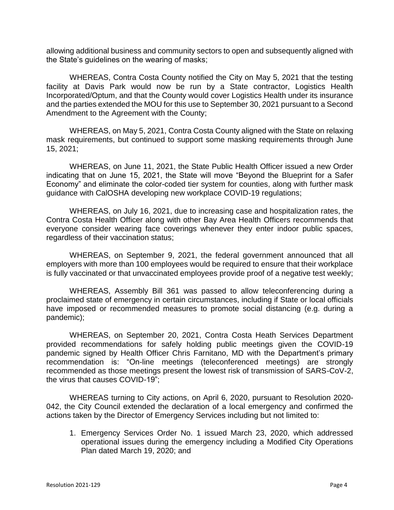allowing additional business and community sectors to open and subsequently aligned with the State's guidelines on the wearing of masks;

WHEREAS, Contra Costa County notified the City on May 5, 2021 that the testing facility at Davis Park would now be run by a State contractor, Logistics Health Incorporated/Optum, and that the County would cover Logistics Health under its insurance and the parties extended the MOU for this use to September 30, 2021 pursuant to a Second Amendment to the Agreement with the County;

WHEREAS, on May 5, 2021, Contra Costa County aligned with the State on relaxing mask requirements, but continued to support some masking requirements through June 15, 2021;

WHEREAS, on June 11, 2021, the State Public Health Officer issued a new Order indicating that on June 15, 2021, the State will move "Beyond the Blueprint for a Safer Economy" and eliminate the color-coded tier system for counties, along with further mask guidance with CalOSHA developing new workplace COVID-19 regulations;

WHEREAS, on July 16, 2021, due to increasing case and hospitalization rates, the Contra Costa Health Officer along with other Bay Area Health Officers recommends that everyone consider wearing face coverings whenever they enter indoor public spaces, regardless of their vaccination status;

WHEREAS, on September 9, 2021, the federal government announced that all employers with more than 100 employees would be required to ensure that their workplace is fully vaccinated or that unvaccinated employees provide proof of a negative test weekly;

WHEREAS, Assembly Bill 361 was passed to allow teleconferencing during a proclaimed state of emergency in certain circumstances, including if State or local officials have imposed or recommended measures to promote social distancing (e.g. during a pandemic);

WHEREAS, on September 20, 2021, Contra Costa Heath Services Department provided recommendations for safely holding public meetings given the COVID-19 pandemic signed by Health Officer Chris Farnitano, MD with the Department's primary recommendation is: "On-line meetings (teleconferenced meetings) are strongly recommended as those meetings present the lowest risk of transmission of SARS-CoV-2, the virus that causes COVID-19";

WHEREAS turning to City actions, on April 6, 2020, pursuant to Resolution 2020- 042, the City Council extended the declaration of a local emergency and confirmed the actions taken by the Director of Emergency Services including but not limited to:

1. Emergency Services Order No. 1 issued March 23, 2020, which addressed operational issues during the emergency including a Modified City Operations Plan dated March 19, 2020; and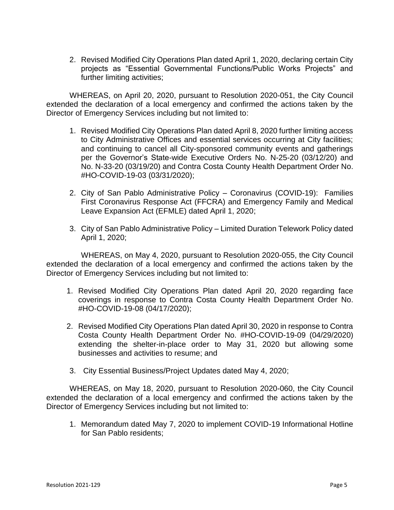2. Revised Modified City Operations Plan dated April 1, 2020, declaring certain City projects as "Essential Governmental Functions/Public Works Projects" and further limiting activities;

WHEREAS, on April 20, 2020, pursuant to Resolution 2020-051, the City Council extended the declaration of a local emergency and confirmed the actions taken by the Director of Emergency Services including but not limited to:

- 1. Revised Modified City Operations Plan dated April 8, 2020 further limiting access to City Administrative Offices and essential services occurring at City facilities; and continuing to cancel all City-sponsored community events and gatherings per the Governor's State-wide Executive Orders No. N-25-20 (03/12/20) and No. N-33-20 (03/19/20) and Contra Costa County Health Department Order No. #HO-COVID-19-03 (03/31/2020);
- 2. City of San Pablo Administrative Policy Coronavirus (COVID-19): Families First Coronavirus Response Act (FFCRA) and Emergency Family and Medical Leave Expansion Act (EFMLE) dated April 1, 2020;
- 3. City of San Pablo Administrative Policy Limited Duration Telework Policy dated April 1, 2020;

WHEREAS, on May 4, 2020, pursuant to Resolution 2020-055, the City Council extended the declaration of a local emergency and confirmed the actions taken by the Director of Emergency Services including but not limited to:

- 1. Revised Modified City Operations Plan dated April 20, 2020 regarding face coverings in response to Contra Costa County Health Department Order No. #HO-COVID-19-08 (04/17/2020);
- 2. Revised Modified City Operations Plan dated April 30, 2020 in response to Contra Costa County Health Department Order No. #HO-COVID-19-09 (04/29/2020) extending the shelter-in-place order to May 31, 2020 but allowing some businesses and activities to resume; and
- 3. City Essential Business/Project Updates dated May 4, 2020;

WHEREAS, on May 18, 2020, pursuant to Resolution 2020-060, the City Council extended the declaration of a local emergency and confirmed the actions taken by the Director of Emergency Services including but not limited to:

1. Memorandum dated May 7, 2020 to implement COVID-19 Informational Hotline for San Pablo residents;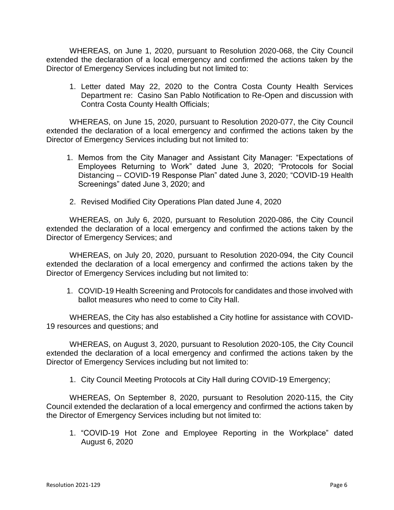WHEREAS, on June 1, 2020, pursuant to Resolution 2020-068, the City Council extended the declaration of a local emergency and confirmed the actions taken by the Director of Emergency Services including but not limited to:

1. Letter dated May 22, 2020 to the Contra Costa County Health Services Department re: Casino San Pablo Notification to Re-Open and discussion with Contra Costa County Health Officials;

WHEREAS, on June 15, 2020, pursuant to Resolution 2020-077, the City Council extended the declaration of a local emergency and confirmed the actions taken by the Director of Emergency Services including but not limited to:

- 1. Memos from the City Manager and Assistant City Manager: "Expectations of Employees Returning to Work" dated June 3, 2020; "Protocols for Social Distancing -- COVID-19 Response Plan" dated June 3, 2020; "COVID-19 Health Screenings" dated June 3, 2020; and
- 2. Revised Modified City Operations Plan dated June 4, 2020

WHEREAS, on July 6, 2020, pursuant to Resolution 2020-086, the City Council extended the declaration of a local emergency and confirmed the actions taken by the Director of Emergency Services; and

WHEREAS, on July 20, 2020, pursuant to Resolution 2020-094, the City Council extended the declaration of a local emergency and confirmed the actions taken by the Director of Emergency Services including but not limited to:

1. COVID-19 Health Screening and Protocols for candidates and those involved with ballot measures who need to come to City Hall.

WHEREAS, the City has also established a City hotline for assistance with COVID-19 resources and questions; and

WHEREAS, on August 3, 2020, pursuant to Resolution 2020-105, the City Council extended the declaration of a local emergency and confirmed the actions taken by the Director of Emergency Services including but not limited to:

1. City Council Meeting Protocols at City Hall during COVID-19 Emergency;

WHEREAS, On September 8, 2020, pursuant to Resolution 2020-115, the City Council extended the declaration of a local emergency and confirmed the actions taken by the Director of Emergency Services including but not limited to:

1. "COVID-19 Hot Zone and Employee Reporting in the Workplace" dated August 6, 2020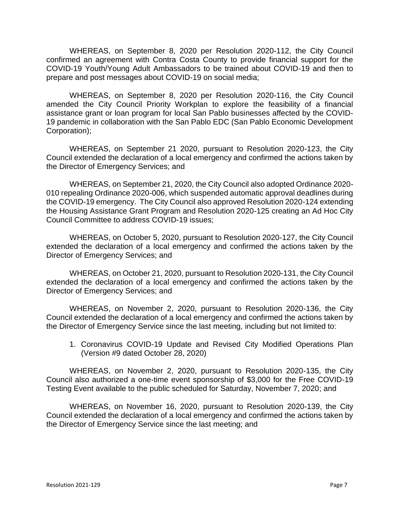WHEREAS, on September 8, 2020 per Resolution 2020-112, the City Council confirmed an agreement with Contra Costa County to provide financial support for the COVID-19 Youth/Young Adult Ambassadors to be trained about COVID-19 and then to prepare and post messages about COVID-19 on social media;

WHEREAS, on September 8, 2020 per Resolution 2020-116, the City Council amended the City Council Priority Workplan to explore the feasibility of a financial assistance grant or loan program for local San Pablo businesses affected by the COVID-19 pandemic in collaboration with the San Pablo EDC (San Pablo Economic Development Corporation);

WHEREAS, on September 21 2020, pursuant to Resolution 2020-123, the City Council extended the declaration of a local emergency and confirmed the actions taken by the Director of Emergency Services; and

WHEREAS, on September 21, 2020, the City Council also adopted Ordinance 2020- 010 repealing Ordinance 2020-006, which suspended automatic approval deadlines during the COVID-19 emergency. The City Council also approved Resolution 2020-124 extending the Housing Assistance Grant Program and Resolution 2020-125 creating an Ad Hoc City Council Committee to address COVID-19 issues;

WHEREAS, on October 5, 2020, pursuant to Resolution 2020-127, the City Council extended the declaration of a local emergency and confirmed the actions taken by the Director of Emergency Services; and

WHEREAS, on October 21, 2020, pursuant to Resolution 2020-131, the City Council extended the declaration of a local emergency and confirmed the actions taken by the Director of Emergency Services; and

WHEREAS, on November 2, 2020, pursuant to Resolution 2020-136, the City Council extended the declaration of a local emergency and confirmed the actions taken by the Director of Emergency Service since the last meeting, including but not limited to:

1. Coronavirus COVID-19 Update and Revised City Modified Operations Plan (Version #9 dated October 28, 2020)

WHEREAS, on November 2, 2020, pursuant to Resolution 2020-135, the City Council also authorized a one-time event sponsorship of \$3,000 for the Free COVID-19 Testing Event available to the public scheduled for Saturday, November 7, 2020; and

WHEREAS, on November 16, 2020, pursuant to Resolution 2020-139, the City Council extended the declaration of a local emergency and confirmed the actions taken by the Director of Emergency Service since the last meeting; and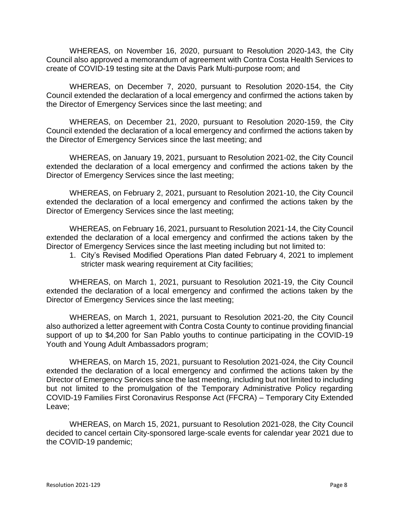WHEREAS, on November 16, 2020, pursuant to Resolution 2020-143, the City Council also approved a memorandum of agreement with Contra Costa Health Services to create of COVID-19 testing site at the Davis Park Multi-purpose room; and

WHEREAS, on December 7, 2020, pursuant to Resolution 2020-154, the City Council extended the declaration of a local emergency and confirmed the actions taken by the Director of Emergency Services since the last meeting; and

WHEREAS, on December 21, 2020, pursuant to Resolution 2020-159, the City Council extended the declaration of a local emergency and confirmed the actions taken by the Director of Emergency Services since the last meeting; and

WHEREAS, on January 19, 2021, pursuant to Resolution 2021-02, the City Council extended the declaration of a local emergency and confirmed the actions taken by the Director of Emergency Services since the last meeting;

WHEREAS, on February 2, 2021, pursuant to Resolution 2021-10, the City Council extended the declaration of a local emergency and confirmed the actions taken by the Director of Emergency Services since the last meeting;

WHEREAS, on February 16, 2021, pursuant to Resolution 2021-14, the City Council extended the declaration of a local emergency and confirmed the actions taken by the Director of Emergency Services since the last meeting including but not limited to:

1. City's Revised Modified Operations Plan dated February 4, 2021 to implement stricter mask wearing requirement at City facilities;

WHEREAS, on March 1, 2021, pursuant to Resolution 2021-19, the City Council extended the declaration of a local emergency and confirmed the actions taken by the Director of Emergency Services since the last meeting;

WHEREAS, on March 1, 2021, pursuant to Resolution 2021-20, the City Council also authorized a letter agreement with Contra Costa County to continue providing financial support of up to \$4,200 for San Pablo youths to continue participating in the COVID-19 Youth and Young Adult Ambassadors program;

WHEREAS, on March 15, 2021, pursuant to Resolution 2021-024, the City Council extended the declaration of a local emergency and confirmed the actions taken by the Director of Emergency Services since the last meeting, including but not limited to including but not limited to the promulgation of the Temporary Administrative Policy regarding COVID-19 Families First Coronavirus Response Act (FFCRA) – Temporary City Extended Leave;

WHEREAS, on March 15, 2021, pursuant to Resolution 2021-028, the City Council decided to cancel certain City-sponsored large-scale events for calendar year 2021 due to the COVID-19 pandemic;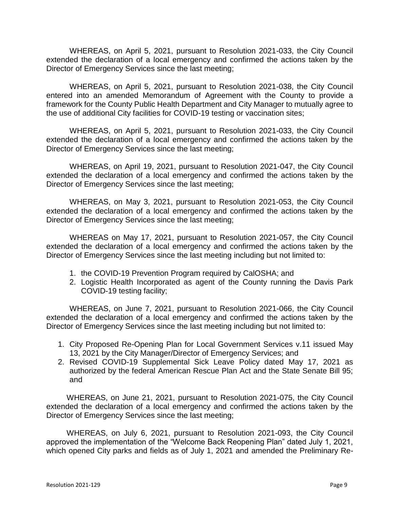WHEREAS, on April 5, 2021, pursuant to Resolution 2021-033, the City Council extended the declaration of a local emergency and confirmed the actions taken by the Director of Emergency Services since the last meeting;

WHEREAS, on April 5, 2021, pursuant to Resolution 2021-038, the City Council entered into an amended Memorandum of Agreement with the County to provide a framework for the County Public Health Department and City Manager to mutually agree to the use of additional City facilities for COVID-19 testing or vaccination sites;

WHEREAS, on April 5, 2021, pursuant to Resolution 2021-033, the City Council extended the declaration of a local emergency and confirmed the actions taken by the Director of Emergency Services since the last meeting;

WHEREAS, on April 19, 2021, pursuant to Resolution 2021-047, the City Council extended the declaration of a local emergency and confirmed the actions taken by the Director of Emergency Services since the last meeting;

WHEREAS, on May 3, 2021, pursuant to Resolution 2021-053, the City Council extended the declaration of a local emergency and confirmed the actions taken by the Director of Emergency Services since the last meeting;

WHEREAS on May 17, 2021, pursuant to Resolution 2021-057, the City Council extended the declaration of a local emergency and confirmed the actions taken by the Director of Emergency Services since the last meeting including but not limited to:

- 1. the COVID-19 Prevention Program required by CalOSHA; and
- 2. Logistic Health Incorporated as agent of the County running the Davis Park COVID-19 testing facility;

WHEREAS, on June 7, 2021, pursuant to Resolution 2021-066, the City Council extended the declaration of a local emergency and confirmed the actions taken by the Director of Emergency Services since the last meeting including but not limited to:

- 1. City Proposed Re-Opening Plan for Local Government Services v.11 issued May 13, 2021 by the City Manager/Director of Emergency Services; and
- 2. Revised COVID-19 Supplemental Sick Leave Policy dated May 17, 2021 as authorized by the federal American Rescue Plan Act and the State Senate Bill 95; and

WHEREAS, on June 21, 2021, pursuant to Resolution 2021-075, the City Council extended the declaration of a local emergency and confirmed the actions taken by the Director of Emergency Services since the last meeting;

WHEREAS, on July 6, 2021, pursuant to Resolution 2021-093, the City Council approved the implementation of the "Welcome Back Reopening Plan" dated July 1, 2021, which opened City parks and fields as of July 1, 2021 and amended the Preliminary Re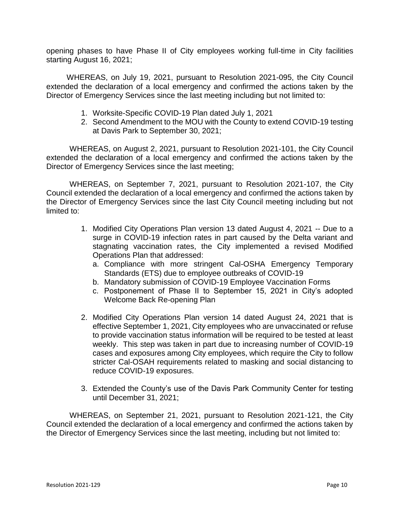opening phases to have Phase II of City employees working full-time in City facilities starting August 16, 2021;

WHEREAS, on July 19, 2021, pursuant to Resolution 2021-095, the City Council extended the declaration of a local emergency and confirmed the actions taken by the Director of Emergency Services since the last meeting including but not limited to:

- 1. Worksite-Specific COVID-19 Plan dated July 1, 2021
- 2. Second Amendment to the MOU with the County to extend COVID-19 testing at Davis Park to September 30, 2021;

WHEREAS, on August 2, 2021, pursuant to Resolution 2021-101, the City Council extended the declaration of a local emergency and confirmed the actions taken by the Director of Emergency Services since the last meeting;

WHEREAS, on September 7, 2021, pursuant to Resolution 2021-107, the City Council extended the declaration of a local emergency and confirmed the actions taken by the Director of Emergency Services since the last City Council meeting including but not limited to:

- 1. Modified City Operations Plan version 13 dated August 4, 2021 -- Due to a surge in COVID-19 infection rates in part caused by the Delta variant and stagnating vaccination rates, the City implemented a revised Modified Operations Plan that addressed:
	- a. Compliance with more stringent Cal-OSHA Emergency Temporary Standards (ETS) due to employee outbreaks of COVID-19
	- b. Mandatory submission of COVID-19 Employee Vaccination Forms
	- c. Postponement of Phase II to September 15, 2021 in City's adopted Welcome Back Re-opening Plan
- 2. Modified City Operations Plan version 14 dated August 24, 2021 that is effective September 1, 2021, City employees who are unvaccinated or refuse to provide vaccination status information will be required to be tested at least weekly. This step was taken in part due to increasing number of COVID-19 cases and exposures among City employees, which require the City to follow stricter Cal-OSAH requirements related to masking and social distancing to reduce COVID-19 exposures.
- 3. Extended the County's use of the Davis Park Community Center for testing until December 31, 2021;

WHEREAS, on September 21, 2021, pursuant to Resolution 2021-121, the City Council extended the declaration of a local emergency and confirmed the actions taken by the Director of Emergency Services since the last meeting, including but not limited to: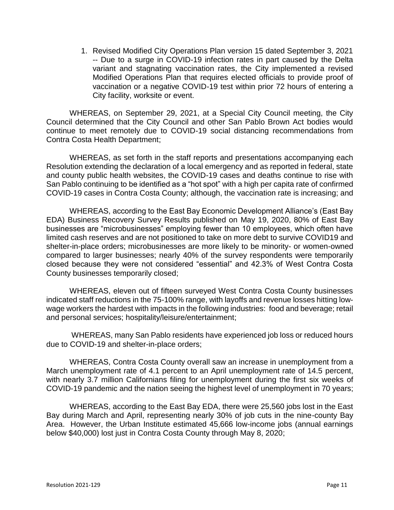1. Revised Modified City Operations Plan version 15 dated September 3, 2021 -- Due to a surge in COVID-19 infection rates in part caused by the Delta variant and stagnating vaccination rates, the City implemented a revised Modified Operations Plan that requires elected officials to provide proof of vaccination or a negative COVID-19 test within prior 72 hours of entering a City facility, worksite or event.

WHEREAS, on September 29, 2021, at a Special City Council meeting, the City Council determined that the City Council and other San Pablo Brown Act bodies would continue to meet remotely due to COVID-19 social distancing recommendations from Contra Costa Health Department;

WHEREAS, as set forth in the staff reports and presentations accompanying each Resolution extending the declaration of a local emergency and as reported in federal, state and county public health websites, the COVID-19 cases and deaths continue to rise with San Pablo continuing to be identified as a "hot spot" with a high per capita rate of confirmed COVID-19 cases in Contra Costa County; although, the vaccination rate is increasing; and

WHEREAS, according to the East Bay Economic Development Alliance's (East Bay EDA) Business Recovery Survey Results published on May 19, 2020, 80% of East Bay businesses are "microbusinesses" employing fewer than 10 employees, which often have limited cash reserves and are not positioned to take on more debt to survive COVID19 and shelter-in-place orders; microbusinesses are more likely to be minority- or women-owned compared to larger businesses; nearly 40% of the survey respondents were temporarily closed because they were not considered "essential" and 42.3% of West Contra Costa County businesses temporarily closed;

WHEREAS, eleven out of fifteen surveyed West Contra Costa County businesses indicated staff reductions in the 75-100% range, with layoffs and revenue losses hitting lowwage workers the hardest with impacts in the following industries: food and beverage; retail and personal services; hospitality/leisure/entertainment;

WHEREAS, many San Pablo residents have experienced job loss or reduced hours due to COVID-19 and shelter-in-place orders;

WHEREAS, Contra Costa County overall saw an increase in unemployment from a March unemployment rate of 4.1 percent to an April unemployment rate of 14.5 percent, with nearly 3.7 million Californians filing for unemployment during the first six weeks of COVID-19 pandemic and the nation seeing the highest level of unemployment in 70 years;

WHEREAS, according to the East Bay EDA, there were 25,560 jobs lost in the East Bay during March and April, representing nearly 30% of job cuts in the nine-county Bay Area. However, the Urban Institute estimated 45,666 low-income jobs (annual earnings below \$40,000) lost just in Contra Costa County through May 8, 2020;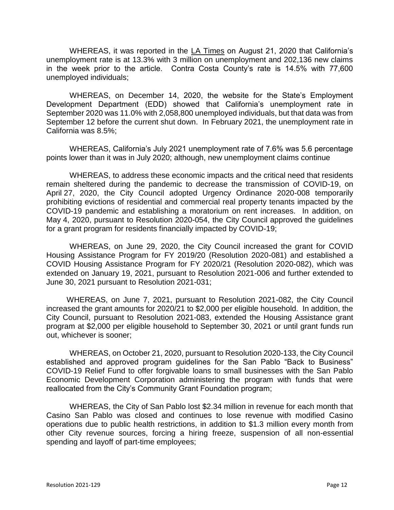WHEREAS, it was reported in the LA Times on August 21, 2020 that California's unemployment rate is at 13.3% with 3 million on unemployment and 202,136 new claims in the week prior to the article. Contra Costa County's rate is 14.5% with 77,600 unemployed individuals;

WHEREAS, on December 14, 2020, the website for the State's Employment Development Department (EDD) showed that California's unemployment rate in September 2020 was 11.0% with 2,058,800 unemployed individuals, but that data was from September 12 before the current shut down. In February 2021, the unemployment rate in California was 8.5%;

WHEREAS, California's July 2021 unemployment rate of 7.6% was 5.6 percentage points lower than it was in July 2020; although, new unemployment claims continue

WHEREAS, to address these economic impacts and the critical need that residents remain sheltered during the pandemic to decrease the transmission of COVID-19, on April 27, 2020, the City Council adopted Urgency Ordinance 2020-008 temporarily prohibiting evictions of residential and commercial real property tenants impacted by the COVID-19 pandemic and establishing a moratorium on rent increases. In addition, on May 4, 2020, pursuant to Resolution 2020-054, the City Council approved the guidelines for a grant program for residents financially impacted by COVID-19;

WHEREAS, on June 29, 2020, the City Council increased the grant for COVID Housing Assistance Program for FY 2019/20 (Resolution 2020-081) and established a COVID Housing Assistance Program for FY 2020/21 (Resolution 2020-082), which was extended on January 19, 2021, pursuant to Resolution 2021-006 and further extended to June 30, 2021 pursuant to Resolution 2021-031;

WHEREAS, on June 7, 2021, pursuant to Resolution 2021-082, the City Council increased the grant amounts for 2020/21 to \$2,000 per eligible household. In addition, the City Council, pursuant to Resolution 2021-083, extended the Housing Assistance grant program at \$2,000 per eligible household to September 30, 2021 or until grant funds run out, whichever is sooner;

WHEREAS, on October 21, 2020, pursuant to Resolution 2020-133, the City Council established and approved program guidelines for the San Pablo "Back to Business" COVID-19 Relief Fund to offer forgivable loans to small businesses with the San Pablo Economic Development Corporation administering the program with funds that were reallocated from the City's Community Grant Foundation program;

WHEREAS, the City of San Pablo lost \$2.34 million in revenue for each month that Casino San Pablo was closed and continues to lose revenue with modified Casino operations due to public health restrictions, in addition to \$1.3 million every month from other City revenue sources, forcing a hiring freeze, suspension of all non-essential spending and layoff of part-time employees;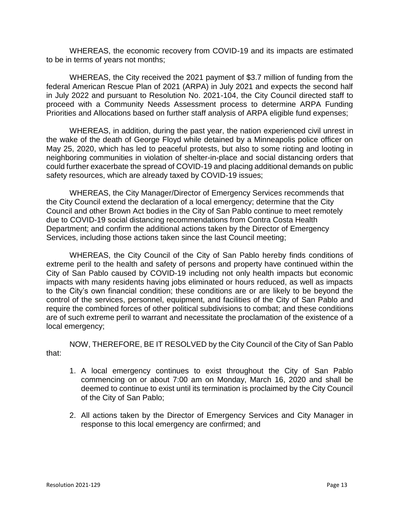WHEREAS, the economic recovery from COVID-19 and its impacts are estimated to be in terms of years not months;

WHEREAS, the City received the 2021 payment of \$3.7 million of funding from the federal American Rescue Plan of 2021 (ARPA) in July 2021 and expects the second half in July 2022 and pursuant to Resolution No. 2021-104, the City Council directed staff to proceed with a Community Needs Assessment process to determine ARPA Funding Priorities and Allocations based on further staff analysis of ARPA eligible fund expenses;

WHEREAS, in addition, during the past year, the nation experienced civil unrest in the wake of the death of George Floyd while detained by a Minneapolis police officer on May 25, 2020, which has led to peaceful protests, but also to some rioting and looting in neighboring communities in violation of shelter-in-place and social distancing orders that could further exacerbate the spread of COVID-19 and placing additional demands on public safety resources, which are already taxed by COVID-19 issues;

WHEREAS, the City Manager/Director of Emergency Services recommends that the City Council extend the declaration of a local emergency; determine that the City Council and other Brown Act bodies in the City of San Pablo continue to meet remotely due to COVID-19 social distancing recommendations from Contra Costa Health Department; and confirm the additional actions taken by the Director of Emergency Services, including those actions taken since the last Council meeting;

WHEREAS, the City Council of the City of San Pablo hereby finds conditions of extreme peril to the health and safety of persons and property have continued within the City of San Pablo caused by COVID-19 including not only health impacts but economic impacts with many residents having jobs eliminated or hours reduced, as well as impacts to the City's own financial condition; these conditions are or are likely to be beyond the control of the services, personnel, equipment, and facilities of the City of San Pablo and require the combined forces of other political subdivisions to combat; and these conditions are of such extreme peril to warrant and necessitate the proclamation of the existence of a local emergency;

NOW, THEREFORE, BE IT RESOLVED by the City Council of the City of San Pablo that:

- 1. A local emergency continues to exist throughout the City of San Pablo commencing on or about 7:00 am on Monday, March 16, 2020 and shall be deemed to continue to exist until its termination is proclaimed by the City Council of the City of San Pablo;
- 2. All actions taken by the Director of Emergency Services and City Manager in response to this local emergency are confirmed; and